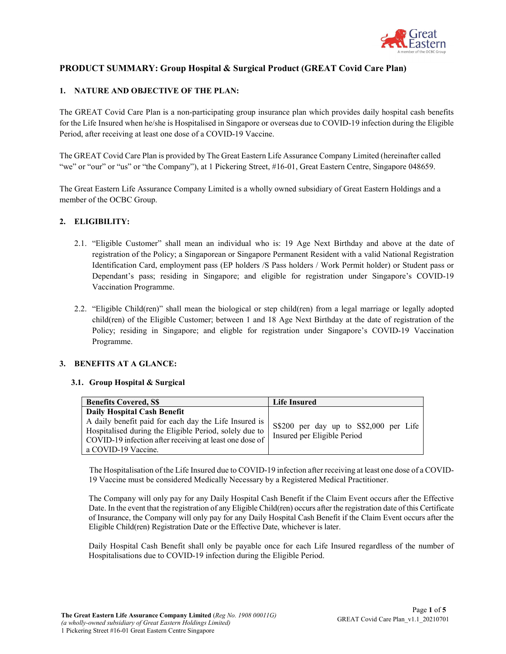

# PRODUCT SUMMARY: Group Hospital & Surgical Product (GREAT Covid Care Plan)

## 1. NATURE AND OBJECTIVE OF THE PLAN:

The GREAT Covid Care Plan is a non-participating group insurance plan which provides daily hospital cash benefits for the Life Insured when he/she is Hospitalised in Singapore or overseas due to COVID-19 infection during the Eligible Period, after receiving at least one dose of a COVID-19 Vaccine.

The GREAT Covid Care Plan is provided by The Great Eastern Life Assurance Company Limited (hereinafter called "we" or "our" or "us" or "the Company"), at 1 Pickering Street, #16-01, Great Eastern Centre, Singapore 048659.

The Great Eastern Life Assurance Company Limited is a wholly owned subsidiary of Great Eastern Holdings and a member of the OCBC Group.

## 2. ELIGIBILITY:

- 2.1. "Eligible Customer" shall mean an individual who is: 19 Age Next Birthday and above at the date of registration of the Policy; a Singaporean or Singapore Permanent Resident with a valid National Registration Identification Card, employment pass (EP holders /S Pass holders / Work Permit holder) or Student pass or Dependant's pass; residing in Singapore; and eligible for registration under Singapore's COVID-19 Vaccination Programme.
- 2.2. "Eligible Child(ren)" shall mean the biological or step child(ren) from a legal marriage or legally adopted child(ren) of the Eligible Customer; between 1 and 18 Age Next Birthday at the date of registration of the Policy; residing in Singapore; and eligble for registration under Singapore's COVID-19 Vaccination Programme.

## 3. BENEFITS AT A GLANCE:

## 3.1. Group Hospital & Surgical

| <b>Benefits Covered, S\$</b>                                                                                                                                                                                                     | <b>Life Insured</b>                                                   |
|----------------------------------------------------------------------------------------------------------------------------------------------------------------------------------------------------------------------------------|-----------------------------------------------------------------------|
| Daily Hospital Cash Benefit<br>A daily benefit paid for each day the Life Insured is<br>Hospitalised during the Eligible Period, solely due to<br>COVID-19 infection after receiving at least one dose of<br>a COVID-19 Vaccine. | S\$200 per day up to S\$2,000 per Life<br>Insured per Eligible Period |

The Hospitalisation of the Life Insured due to COVID-19 infection after receiving at least one dose of a COVID-19 Vaccine must be considered Medically Necessary by a Registered Medical Practitioner.

The Company will only pay for any Daily Hospital Cash Benefit if the Claim Event occurs after the Effective Date. In the event that the registration of any Eligible Child(ren) occurs after the registration date of this Certificate of Insurance, the Company will only pay for any Daily Hospital Cash Benefit if the Claim Event occurs after the Eligible Child(ren) Registration Date or the Effective Date, whichever is later.

Daily Hospital Cash Benefit shall only be payable once for each Life Insured regardless of the number of Hospitalisations due to COVID-19 infection during the Eligible Period.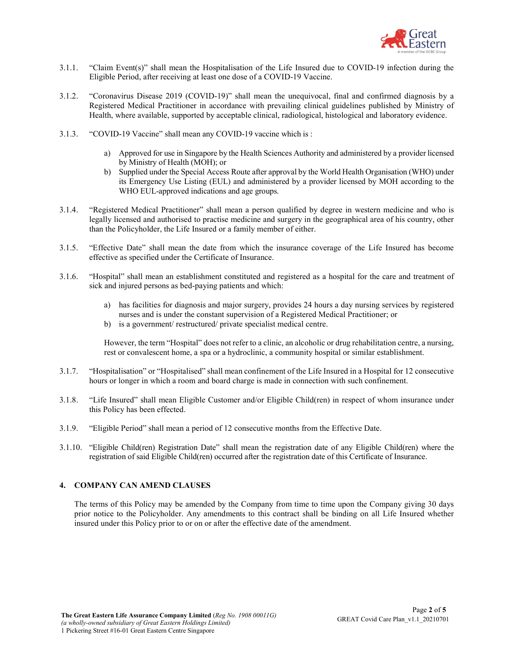

- 3.1.1. "Claim Event(s)" shall mean the Hospitalisation of the Life Insured due to COVID-19 infection during the Eligible Period, after receiving at least one dose of a COVID-19 Vaccine.
- 3.1.2. "Coronavirus Disease 2019 (COVID-19)" shall mean the unequivocal, final and confirmed diagnosis by a Registered Medical Practitioner in accordance with prevailing clinical guidelines published by Ministry of Health, where available, supported by acceptable clinical, radiological, histological and laboratory evidence.
- 3.1.3. "COVID-19 Vaccine" shall mean any COVID-19 vaccine which is :
	- a) Approved for use in Singapore by the Health Sciences Authority and administered by a provider licensed by Ministry of Health (MOH); or
	- b) Supplied under the Special Access Route after approval by the World Health Organisation (WHO) under its Emergency Use Listing (EUL) and administered by a provider licensed by MOH according to the WHO EUL-approved indications and age groups.
- 3.1.4. "Registered Medical Practitioner" shall mean a person qualified by degree in western medicine and who is legally licensed and authorised to practise medicine and surgery in the geographical area of his country, other than the Policyholder, the Life Insured or a family member of either.
- 3.1.5. "Effective Date" shall mean the date from which the insurance coverage of the Life Insured has become effective as specified under the Certificate of Insurance.
- 3.1.6. "Hospital" shall mean an establishment constituted and registered as a hospital for the care and treatment of sick and injured persons as bed-paying patients and which:
	- a) has facilities for diagnosis and major surgery, provides 24 hours a day nursing services by registered nurses and is under the constant supervision of a Registered Medical Practitioner; or
	- b) is a government/ restructured/ private specialist medical centre.

However, the term "Hospital" does not refer to a clinic, an alcoholic or drug rehabilitation centre, a nursing, rest or convalescent home, a spa or a hydroclinic, a community hospital or similar establishment.

- 3.1.7. "Hospitalisation" or "Hospitalised" shall mean confinement of the Life Insured in a Hospital for 12 consecutive hours or longer in which a room and board charge is made in connection with such confinement.
- 3.1.8. "Life Insured" shall mean Eligible Customer and/or Eligible Child(ren) in respect of whom insurance under this Policy has been effected.
- 3.1.9. "Eligible Period" shall mean a period of 12 consecutive months from the Effective Date.
- 3.1.10. "Eligible Child(ren) Registration Date" shall mean the registration date of any Eligible Child(ren) where the registration of said Eligible Child(ren) occurred after the registration date of this Certificate of Insurance.

## 4. COMPANY CAN AMEND CLAUSES

The terms of this Policy may be amended by the Company from time to time upon the Company giving 30 days prior notice to the Policyholder. Any amendments to this contract shall be binding on all Life Insured whether insured under this Policy prior to or on or after the effective date of the amendment.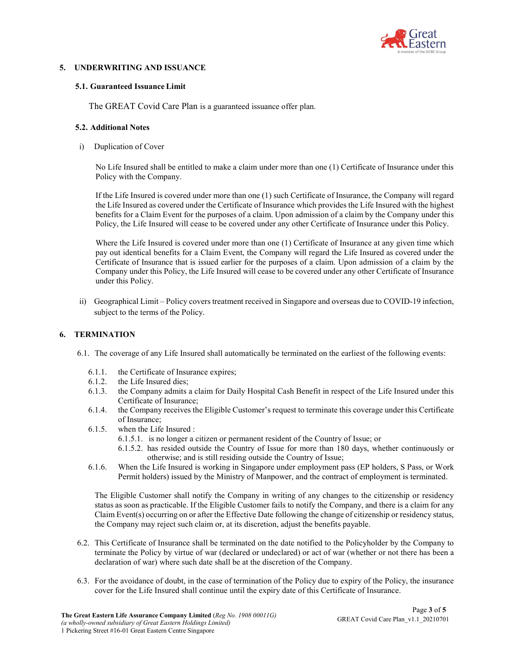

## 5. UNDERWRITING AND ISSUANCE

#### 5.1. Guaranteed Issuance Limit

The GREAT Covid Care Plan is a guaranteed issuance offer plan.

#### 5.2. Additional Notes

i) Duplication of Cover

No Life Insured shall be entitled to make a claim under more than one (1) Certificate of Insurance under this Policy with the Company.

If the Life Insured is covered under more than one (1) such Certificate of Insurance, the Company will regard the Life Insured as covered under the Certificate of Insurance which provides the Life Insured with the highest benefits for a Claim Event for the purposes of a claim. Upon admission of a claim by the Company under this Policy, the Life Insured will cease to be covered under any other Certificate of Insurance under this Policy.

Where the Life Insured is covered under more than one (1) Certificate of Insurance at any given time which pay out identical benefits for a Claim Event, the Company will regard the Life Insured as covered under the Certificate of Insurance that is issued earlier for the purposes of a claim. Upon admission of a claim by the Company under this Policy, the Life Insured will cease to be covered under any other Certificate of Insurance under this Policy.

ii) Geographical Limit – Policy covers treatment received in Singapore and overseas due to COVID-19 infection, subject to the terms of the Policy.

## 6. TERMINATION

- 6.1. The coverage of any Life Insured shall automatically be terminated on the earliest of the following events:
	- 6.1.1. the Certificate of Insurance expires;
	- 6.1.2. the Life Insured dies;
	- 6.1.3. the Company admits a claim for Daily Hospital Cash Benefit in respect of the Life Insured under this Certificate of Insurance;
	- 6.1.4. the Company receives the Eligible Customer's request to terminate this coverage under this Certificate of Insurance;
	- 6.1.5. when the Life Insured :
		- 6.1.5.1. is no longer a citizen or permanent resident of the Country of Issue; or
		- 6.1.5.2. has resided outside the Country of Issue for more than 180 days, whether continuously or otherwise; and is still residing outside the Country of Issue;
	- 6.1.6. When the Life Insured is working in Singapore under employment pass (EP holders, S Pass, or Work Permit holders) issued by the Ministry of Manpower, and the contract of employment is terminated.

The Eligible Customer shall notify the Company in writing of any changes to the citizenship or residency status as soon as practicable. If the Eligible Customer fails to notify the Company, and there is a claim for any Claim Event(s) occurring on or after the Effective Date following the change of citizenship or residency status, the Company may reject such claim or, at its discretion, adjust the benefits payable.

- 6.2. This Certificate of Insurance shall be terminated on the date notified to the Policyholder by the Company to terminate the Policy by virtue of war (declared or undeclared) or act of war (whether or not there has been a declaration of war) where such date shall be at the discretion of the Company.
- 6.3. For the avoidance of doubt, in the case of termination of the Policy due to expiry of the Policy, the insurance cover for the Life Insured shall continue until the expiry date of this Certificate of Insurance.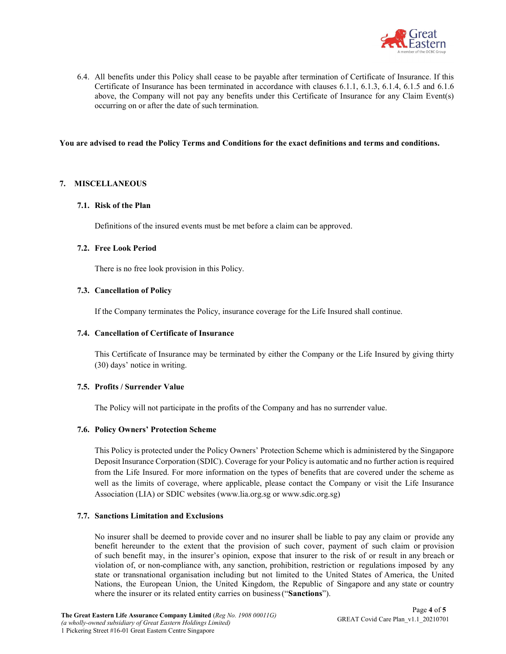

6.4. All benefits under this Policy shall cease to be payable after termination of Certificate of Insurance. If this Certificate of Insurance has been terminated in accordance with clauses 6.1.1, 6.1.3, 6.1.4, 6.1.5 and 6.1.6 above, the Company will not pay any benefits under this Certificate of Insurance for any Claim Event(s) occurring on or after the date of such termination.

## You are advised to read the Policy Terms and Conditions for the exact definitions and terms and conditions.

#### 7. MISCELLANEOUS

#### 7.1. Risk of the Plan

Definitions of the insured events must be met before a claim can be approved.

#### 7.2. Free Look Period

There is no free look provision in this Policy.

#### 7.3. Cancellation of Policy

If the Company terminates the Policy, insurance coverage for the Life Insured shall continue.

#### 7.4. Cancellation of Certificate of Insurance

This Certificate of Insurance may be terminated by either the Company or the Life Insured by giving thirty (30) days' notice in writing.

#### 7.5. Profits / Surrender Value

The Policy will not participate in the profits of the Company and has no surrender value.

## 7.6. Policy Owners' Protection Scheme

This Policy is protected under the Policy Owners' Protection Scheme which is administered by the Singapore Deposit Insurance Corporation (SDIC). Coverage for your Policy is automatic and no further action is required from the Life Insured. For more information on the types of benefits that are covered under the scheme as well as the limits of coverage, where applicable, please contact the Company or visit the Life Insurance Association (LIA) or SDIC websites (www.lia.org.sg or www.sdic.org.sg)

## 7.7. Sanctions Limitation and Exclusions

No insurer shall be deemed to provide cover and no insurer shall be liable to pay any claim or provide any benefit hereunder to the extent that the provision of such cover, payment of such claim or provision of such benefit may, in the insurer's opinion, expose that insurer to the risk of or result in any breach or violation of, or non-compliance with, any sanction, prohibition, restriction or regulations imposed by any state or transnational organisation including but not limited to the United States of America, the United Nations, the European Union, the United Kingdom, the Republic of Singapore and any state or country where the insurer or its related entity carries on business ("Sanctions").